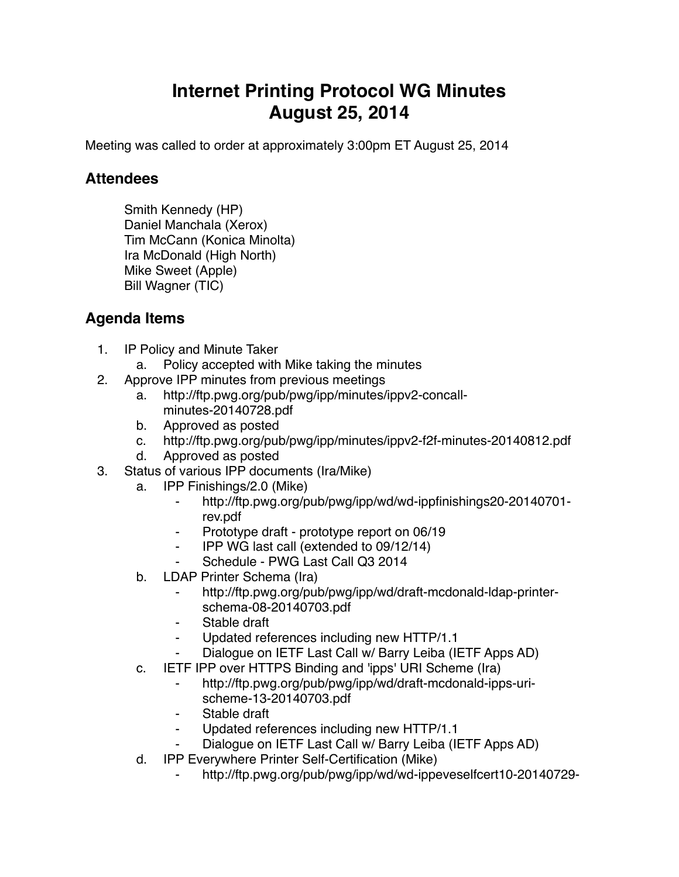## **Internet Printing Protocol WG Minutes August 25, 2014**

Meeting was called to order at approximately 3:00pm ET August 25, 2014

## **Attendees**

Smith Kennedy (HP) Daniel Manchala (Xerox) Tim McCann (Konica Minolta) Ira McDonald (High North) Mike Sweet (Apple) Bill Wagner (TIC)

## **Agenda Items**

- 1. IP Policy and Minute Taker
	- a. Policy accepted with Mike taking the minutes
- 2. Approve IPP minutes from previous meetings
	- a. http://ftp.pwg.org/pub/pwg/ipp/minutes/ippv2-concallminutes-20140728.pdf
	- b. Approved as posted
	- c. http://ftp.pwg.org/pub/pwg/ipp/minutes/ippv2-f2f-minutes-20140812.pdf
	- d. Approved as posted
- 3. Status of various IPP documents (Ira/Mike)
	- a. IPP Finishings/2.0 (Mike)
		- ⁃ http://ftp.pwg.org/pub/pwg/ipp/wd/wd-ippfinishings20-20140701 rev.pdf
		- ⁃ Prototype draft prototype report on 06/19
		- ⁃ IPP WG last call (extended to 09/12/14)
		- Schedule PWG Last Call Q3 2014
	- b. LDAP Printer Schema (Ira)
		- http://ftp.pwg.org/pub/pwg/ipp/wd/draft-mcdonald-ldap-printerschema-08-20140703.pdf
		- Stable draft
		- ⁃ Updated references including new HTTP/1.1
		- Dialogue on IETF Last Call w/ Barry Leiba (IETF Apps AD)
	- c. IETF IPP over HTTPS Binding and 'ipps' URI Scheme (Ira)
		- ⁃ http://ftp.pwg.org/pub/pwg/ipp/wd/draft-mcdonald-ipps-urischeme-13-20140703.pdf
		- Stable draft
		- Updated references including new HTTP/1.1
		- Dialogue on IETF Last Call w/ Barry Leiba (IETF Apps AD)
	- d. IPP Everywhere Printer Self-Certification (Mike)
		- http://ftp.pwg.org/pub/pwg/ipp/wd/wd-ippeveselfcert10-20140729-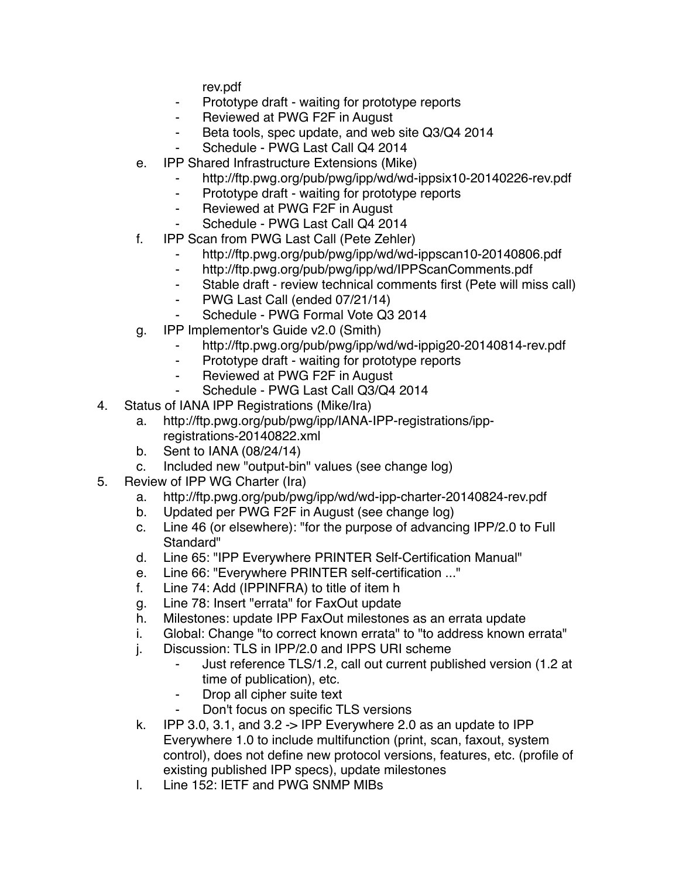rev.pdf

- ⁃ Prototype draft waiting for prototype reports
- ⁃ Reviewed at PWG F2F in August
- ⁃ Beta tools, spec update, and web site Q3/Q4 2014
- Schedule PWG Last Call Q4 2014
- e. IPP Shared Infrastructure Extensions (Mike)
	- http://ftp.pwg.org/pub/pwg/ipp/wd/wd-ippsix10-20140226-rev.pdf
	- ⁃ Prototype draft waiting for prototype reports
	- ⁃ Reviewed at PWG F2F in August
	- Schedule PWG Last Call Q4 2014
- f. IPP Scan from PWG Last Call (Pete Zehler)
	- ⁃ http://ftp.pwg.org/pub/pwg/ipp/wd/wd-ippscan10-20140806.pdf
	- ⁃ http://ftp.pwg.org/pub/pwg/ipp/wd/IPPScanComments.pdf
	- ⁃ Stable draft review technical comments first (Pete will miss call)
	- ⁃ PWG Last Call (ended 07/21/14)
	- Schedule PWG Formal Vote Q3 2014
- g. IPP Implementor's Guide v2.0 (Smith)
	- ⁃ http://ftp.pwg.org/pub/pwg/ipp/wd/wd-ippig20-20140814-rev.pdf
	- ⁃ Prototype draft waiting for prototype reports
	- ⁃ Reviewed at PWG F2F in August
	- Schedule PWG Last Call Q3/Q4 2014
- 4. Status of IANA IPP Registrations (Mike/Ira)
	- a. http://ftp.pwg.org/pub/pwg/ipp/IANA-IPP-registrations/ippregistrations-20140822.xml
	- b. Sent to IANA (08/24/14)
	- c. Included new "output-bin" values (see change log)
- 5. Review of IPP WG Charter (Ira)
	- a. http://ftp.pwg.org/pub/pwg/ipp/wd/wd-ipp-charter-20140824-rev.pdf
	- b. Updated per PWG F2F in August (see change log)
	- c. Line 46 (or elsewhere): "for the purpose of advancing IPP/2.0 to Full Standard"
	- d. Line 65: "IPP Everywhere PRINTER Self-Certification Manual"
	- e. Line 66: "Everywhere PRINTER self-certification ..."
	- f. Line 74: Add (IPPINFRA) to title of item h
	- g. Line 78: Insert "errata" for FaxOut update
	- h. Milestones: update IPP FaxOut milestones as an errata update
	- i. Global: Change "to correct known errata" to "to address known errata"
	- j. Discussion: TLS in IPP/2.0 and IPPS URI scheme
		- Just reference TLS/1.2, call out current published version (1.2 at time of publication), etc.
		- Drop all cipher suite text
		- ⁃ Don't focus on specific TLS versions
	- k. IPP 3.0, 3.1, and 3.2  $\rightarrow$  IPP Everywhere 2.0 as an update to IPP Everywhere 1.0 to include multifunction (print, scan, faxout, system control), does not define new protocol versions, features, etc. (profile of existing published IPP specs), update milestones
	- l. Line 152: IETF and PWG SNMP MIBs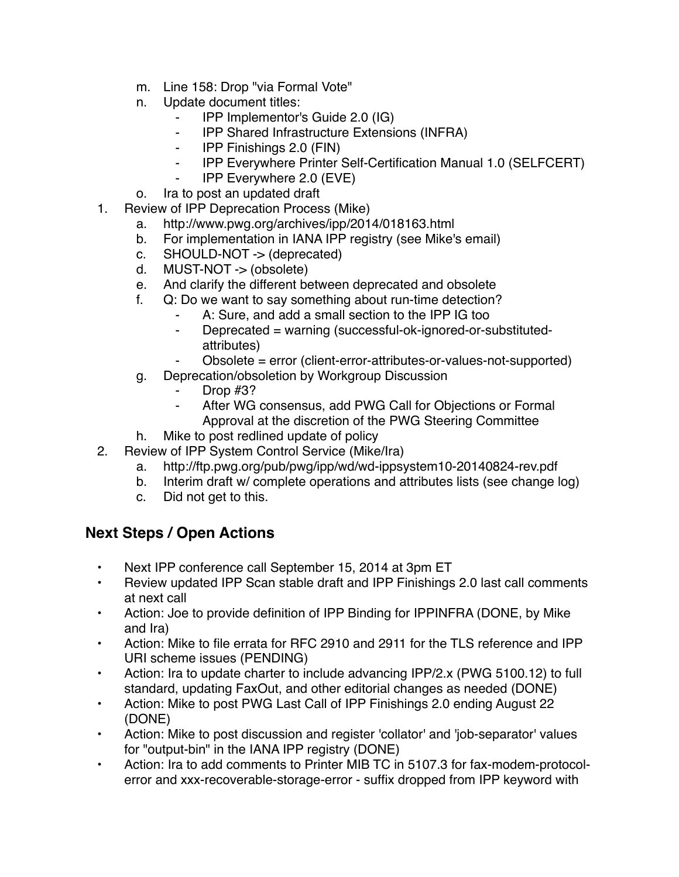- m. Line 158: Drop "via Formal Vote"
- n. Update document titles:
	- ⁃ IPP Implementor's Guide 2.0 (IG)
	- ⁃ IPP Shared Infrastructure Extensions (INFRA)
	- ⁃ IPP Finishings 2.0 (FIN)
	- ⁃ IPP Everywhere Printer Self-Certification Manual 1.0 (SELFCERT)
	- ⁃ IPP Everywhere 2.0 (EVE)
- o. Ira to post an updated draft
- 1. Review of IPP Deprecation Process (Mike)
	- a. http://www.pwg.org/archives/ipp/2014/018163.html
	- b. For implementation in IANA IPP registry (see Mike's email)
	- c. SHOULD-NOT -> (deprecated)
	- d. MUST-NOT -> (obsolete)
	- e. And clarify the different between deprecated and obsolete
	- f. Q: Do we want to say something about run-time detection?
		- A: Sure, and add a small section to the IPP IG too
		- ⁃ Deprecated = warning (successful-ok-ignored-or-substitutedattributes)
			- Obsolete = error (client-error-attributes-or-values-not-supported)
	- g. Deprecation/obsoletion by Workgroup Discussion
		- Drop  $#3$ ?
		- ⁃ After WG consensus, add PWG Call for Objections or Formal Approval at the discretion of the PWG Steering Committee
	- h. Mike to post redlined update of policy
- 2. Review of IPP System Control Service (Mike/Ira)
	- a. http://ftp.pwg.org/pub/pwg/ipp/wd/wd-ippsystem10-20140824-rev.pdf
	- b. Interim draft w/ complete operations and attributes lists (see change log)
	- c. Did not get to this.

## **Next Steps / Open Actions**

- Next IPP conference call September 15, 2014 at 3pm ET
- Review updated IPP Scan stable draft and IPP Finishings 2.0 last call comments at next call
- Action: Joe to provide definition of IPP Binding for IPPINFRA (DONE, by Mike and Ira)
- Action: Mike to file errata for RFC 2910 and 2911 for the TLS reference and IPP URI scheme issues (PENDING)
- Action: Ira to update charter to include advancing IPP/2.x (PWG 5100.12) to full standard, updating FaxOut, and other editorial changes as needed (DONE)
- Action: Mike to post PWG Last Call of IPP Finishings 2.0 ending August 22 (DONE)
- Action: Mike to post discussion and register 'collator' and 'job-separator' values for "output-bin" in the IANA IPP registry (DONE)
- Action: Ira to add comments to Printer MIB TC in 5107.3 for fax-modem-protocolerror and xxx-recoverable-storage-error - suffix dropped from IPP keyword with